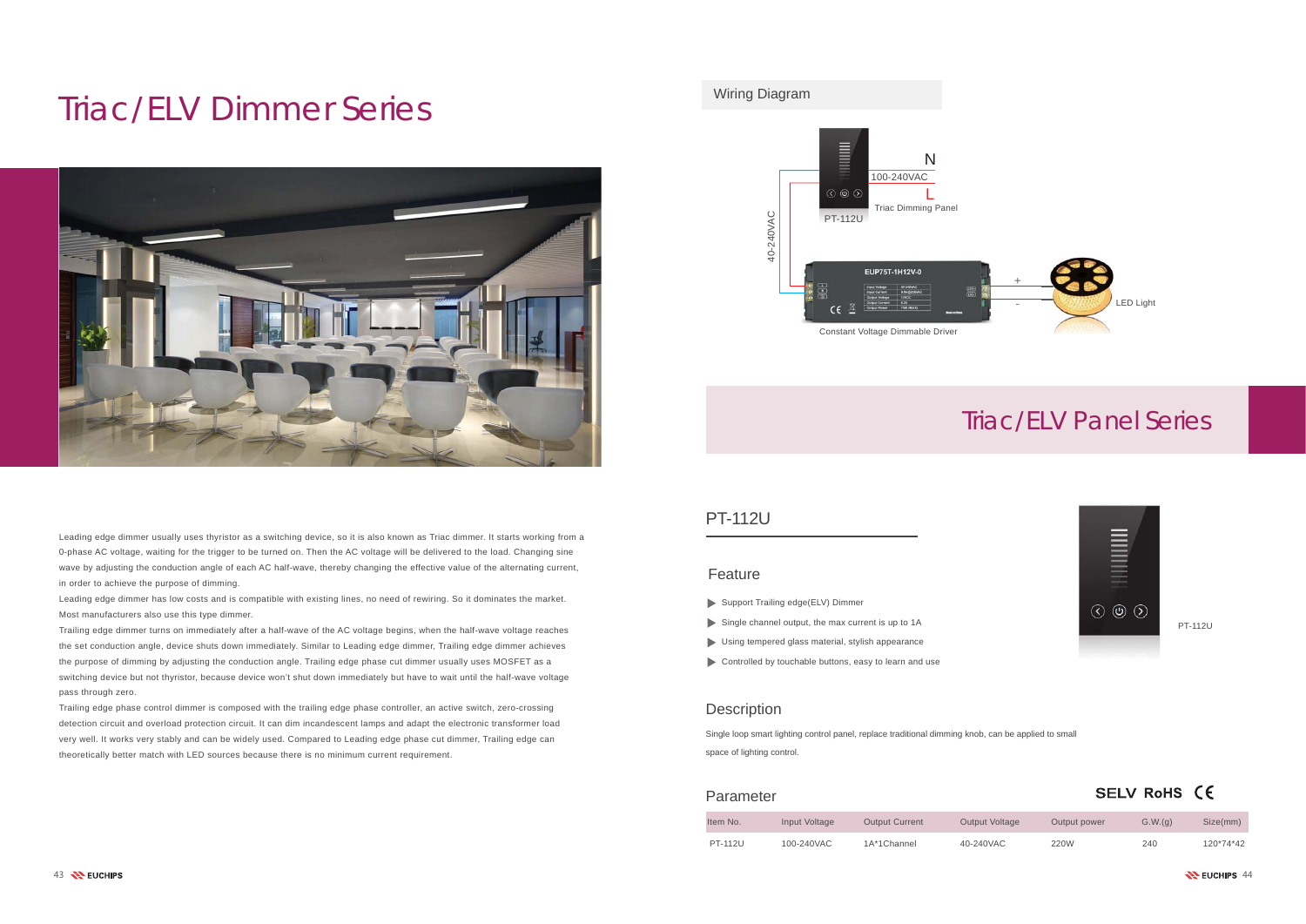# Triac/ELV Dimmer Series



PT-112U

### SELV RoHS (E

# Triac/ELV Panel Series



| Item No.       | Input Voltage | <b>Output Current</b> | <b>Output Voltage</b> | Output power | G.W.(q) | Size(mm)  |
|----------------|---------------|-----------------------|-----------------------|--------------|---------|-----------|
| <b>PT-112U</b> | 100-240VAC    | 1A*1Channel           | 40-240VAC             | 220W         | 240     | 120*74*42 |

#### Feature

#### Parameter

### Wiring Diagram

Single loop smart lighting control panel, replace traditional dimming knob, can be applied to small space of lighting control.

### PT-112U

Leading edge dimmer usually uses thyristor as a switching device, so it is also known as Triac dimmer. It starts working from a 0-phase AC voltage, waiting for the trigger to be turned on. Then the AC voltage will be delivered to the load. Changing sine wave by adjusting the conduction angle of each AC half-wave, thereby changing the effective value of the alternating current, in order to achieve the purpose of dimming.

Leading edge dimmer has low costs and is compatible with existing lines, no need of rewiring. So it dominates the market. Most manufacturers also use this type dimmer.

Trailing edge dimmer turns on immediately after a half-wave of the AC voltage begins, when the half-wave voltage reaches the set conduction angle, device shuts down immediately. Similar to Leading edge dimmer, Trailing edge dimmer achieves the purpose of dimming by adjusting the conduction angle. Trailing edge phase cut dimmer usually uses MOSFET as a switching device but not thyristor, because device won't shut down immediately but have to wait until the half-wave voltage pass through zero.

Trailing edge phase control dimmer is composed with the trailing edge phase controller, an active switch, zero-crossing detection circuit and overload protection circuit. It can dim incandescent lamps and adapt the electronic transformer load very well. It works very stably and can be widely used. Compared to Leading edge phase cut dimmer, Trailing edge can theoretically better match with LED sources because there is no minimum current requirement.

- Support Trailing edge(ELV) Dimmer
- Single channel output, the max current is up to 1A
- Using tempered glass material, stylish appearance
- Controlled by touchable buttons, easy to learn and use

#### **Description**

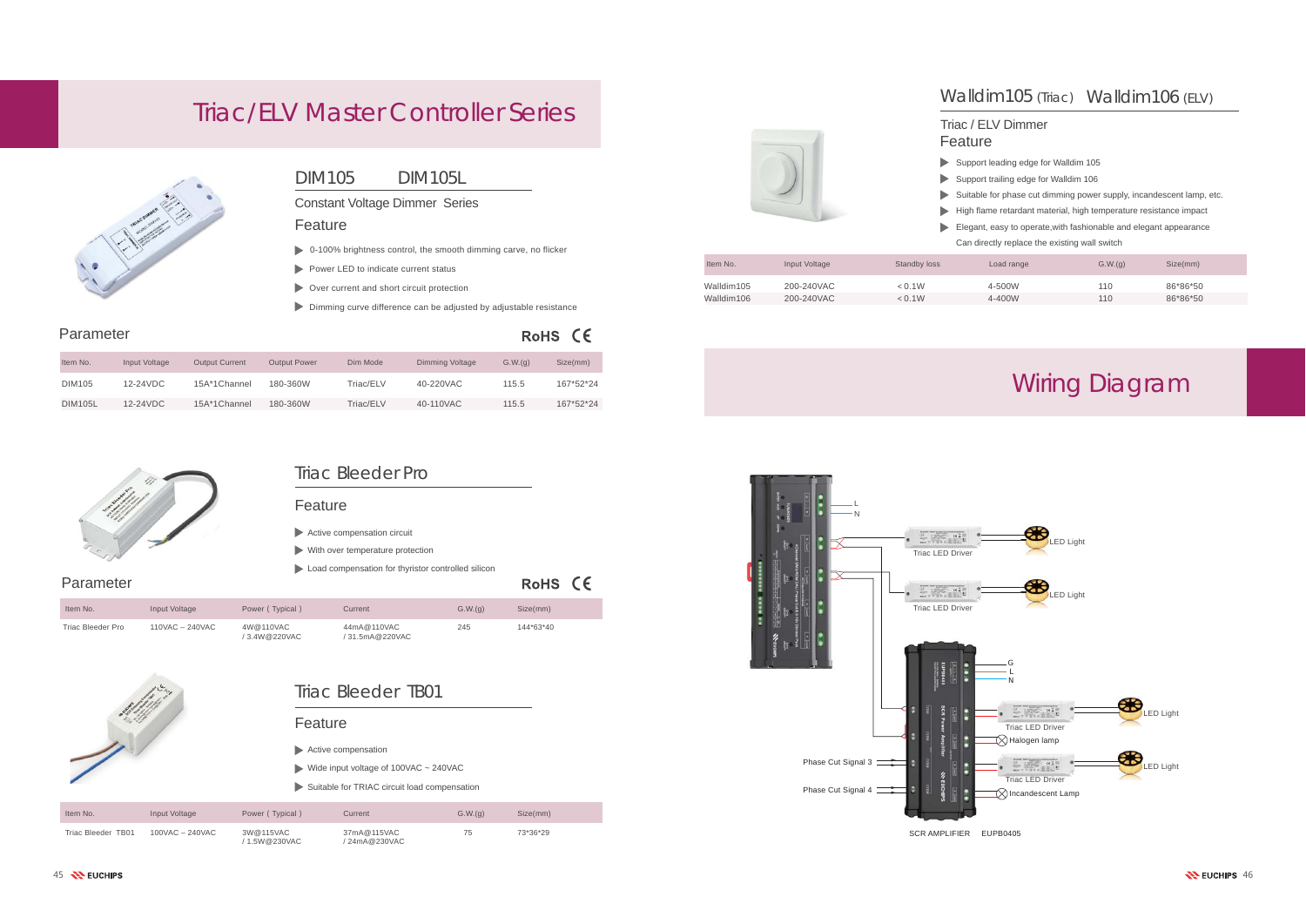## Triac Bleeder Pro

#### Feature

- Active compensation circuit
- With over temperature protection
- Load compensation for thyristor controlled silicon

#### Feature

| Parameter         |                      |                           |                              |         | RoHS CE   |
|-------------------|----------------------|---------------------------|------------------------------|---------|-----------|
| Item No.          | Input Voltage        | Power (Typical)           | Current                      | G.W.(q) | Size(mm)  |
| Triac Bleeder Pro | $110$ VAC $-$ 240VAC | 4W@110VAC<br>/3.4W@220VAC | 44mA@110VAC<br>31.5mA@220VAC | 245     | 144*63*40 |



Parameter

## DIM105 DIM105L

#### Feature

- Support trailing edge for Walldim 106
- $\blacktriangleright$  Suitable for phase cut dimming power supply, incandescent lamp, etc.
- High flame retardant material, high temperature resistance impact
- Elegant, easy to operate,with fashionable and elegant appearance
	- Can directly replace the existing wall switch

Constant Voltage Dimmer Series

| Item No.       | Input Voltage | <b>Output Current</b> | <b>Output Power</b> | Dim Mode  | <b>Dimming Voltage</b> | G.W.(q) | Size(mm)  |
|----------------|---------------|-----------------------|---------------------|-----------|------------------------|---------|-----------|
| DIM105         | 12-24VDC      | 15A*1Channel          | 180-360W            | Triac/ELV | 40-220VAC              | 115.5   | 167*52*24 |
| <b>DIM105L</b> | 12-24VDC      | 15A*1Channel          | 180-360W            | Triac/ELV | 40-110VAC              | 115.5   | 167*52*24 |



#### Feature Triac / ELV Dimmer

Support leading edge for Walldim 105

- 0-100% brightness control, the smooth dimming carve, no flicker
- Power LED to indicate current status
- Over current and short circuit protection
- Dimming curve difference can be adjusted by adjustable resistance

# RoHS CE

- Active compensation
- Wide input voltage of 100VAC ~ 240VAC
- Suitable for TRIAC circuit load compensation

| Item No.   | Input Voltage | Standby loss | Load range | G.W.(g) | Size(mm) |
|------------|---------------|--------------|------------|---------|----------|
| Walldim105 | 200-240VAC    | < 0.1W       | 4-500W     | 110     | 86*86*50 |
| Walldim106 | 200-240VAC    | < 0.1W       | 4-400W     | 110     | 86*86*50 |

| Item No.           | Input Voltage   | Power (Typical)            | Current                      | G.W.(q) | Size(mm) |
|--------------------|-----------------|----------------------------|------------------------------|---------|----------|
| Triac Bleeder TB01 | 100VAC – 240VAC | 3W@115VAC<br>/ 1.5W@230VAC | 37mA@115VAC<br>/ 24mA@230VAC | 75      | 73*36*29 |



# Wiring Diagram

# Triac/ELV Master Controller Series



SCR AMPLIFIER EUPB0405

# Walldim105 (Triac) Walldim106 (ELV)



## Triac Bleeder TB01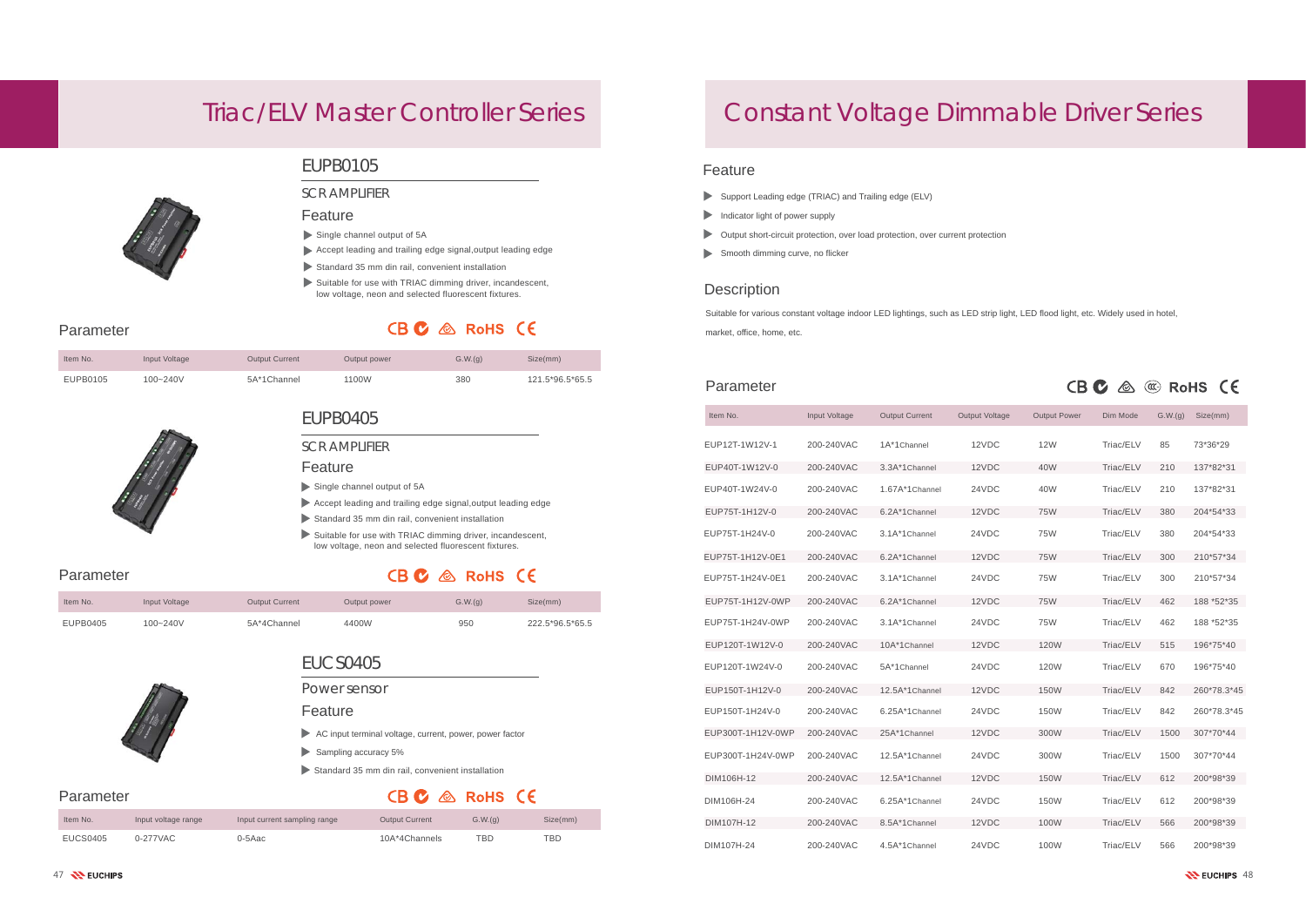#### Feature

- AC input terminal voltage, current, power, power factor
- $\blacktriangleright$  Sampling accuracy 5%
- Standard 35 mm din rail, convenient installation

# CBC & RoHS CE

#### Feature

- Single channel output of 5A
- Accept leading and trailing edge signal,output leading edge
- Standard 35 mm din rail, convenient installation

#### Feature

### Parameter

- Support Leading edge (TRIAC) and Trailing edge (ELV)
- Indicator light of power supply
- Output short-circuit protection, over load protection, over current protection
- Smooth dimming curve, no flicker

### **Description**

| Item No. | Input Voltage | <b>Output Current</b> | Output power | G.W.(q) | Size(mm)        |
|----------|---------------|-----------------------|--------------|---------|-----------------|
| EUPB0105 | 100~240V      | 5A*1Channel           | 1100W        | 380     | 121.5*96.5*65.5 |



| Parameter         |               |                       |                       | CB M                |           | $\left(\mathfrak{C}\right)$ | <b>RoHS</b><br><b>CE</b> |
|-------------------|---------------|-----------------------|-----------------------|---------------------|-----------|-----------------------------|--------------------------|
| Item No.          | Input Voltage | <b>Output Current</b> | <b>Output Voltage</b> | <b>Output Power</b> | Dim Mode  | G.W.(g)                     | Size(mm)                 |
| EUP12T-1W12V-1    | 200-240VAC    | 1A*1Channel           | 12VDC                 | <b>12W</b>          | Triac/ELV | 85                          | 73*36*29                 |
| EUP40T-1W12V-0    | 200-240VAC    | 3.3A*1Channel         | 12VDC                 | 40W                 | Triac/ELV | 210                         | 137*82*31                |
| EUP40T-1W24V-0    | 200-240VAC    | 1.67A*1Channel        | 24VDC                 | 40W                 | Triac/ELV | 210                         | 137*82*31                |
| EUP75T-1H12V-0    | 200-240VAC    | 6.2A*1Channel         | 12VDC                 | <b>75W</b>          | Triac/ELV | 380                         | 204*54*33                |
| EUP75T-1H24V-0    | 200-240VAC    | 3.1A*1Channel         | 24VDC                 | 75W                 | Triac/ELV | 380                         | 204*54*33                |
| EUP75T-1H12V-0E1  | 200-240VAC    | 6.2A*1Channel         | 12VDC                 | <b>75W</b>          | Triac/ELV | 300                         | 210*57*34                |
| EUP75T-1H24V-0E1  | 200-240VAC    | 3.1A*1Channel         | 24VDC                 | 75W                 | Triac/ELV | 300                         | 210*57*34                |
| EUP75T-1H12V-0WP  | 200-240VAC    | 6.2A*1Channel         | 12VDC                 | <b>75W</b>          | Triac/ELV | 462                         | 188 *52*35               |
| EUP75T-1H24V-0WP  | 200-240VAC    | 3.1A*1Channel         | 24VDC                 | <b>75W</b>          | Triac/ELV | 462                         | 188 *52*35               |
| EUP120T-1W12V-0   | 200-240VAC    | 10A*1Channel          | 12VDC                 | <b>120W</b>         | Triac/ELV | 515                         | 196*75*40                |
| EUP120T-1W24V-0   | 200-240VAC    | 5A*1Channel           | 24VDC                 | 120W                | Triac/ELV | 670                         | 196*75*40                |
| EUP150T-1H12V-0   | 200-240VAC    | 12.5A*1Channel        | 12VDC                 | <b>150W</b>         | Triac/ELV | 842                         | 260*78.3*45              |
| EUP150T-1H24V-0   | 200-240VAC    | 6.25A*1Channel        | 24VDC                 | 150W                | Triac/ELV | 842                         | 260*78.3*45              |
| EUP300T-1H12V-0WP | 200-240VAC    | 25A*1Channel          | 12VDC                 | 300W                | Triac/ELV | 1500                        | 307*70*44                |
| EUP300T-1H24V-0WP | 200-240VAC    | 12.5A*1Channel        | 24VDC                 | 300W                | Triac/ELV | 1500                        | 307*70*44                |
| DIM106H-12        | 200-240VAC    | 12.5A*1Channel        | 12VDC                 | <b>150W</b>         | Triac/ELV | 612                         | 200*98*39                |
| DIM106H-24        | 200-240VAC    | 6.25A*1Channel        | 24VDC                 | 150W                | Triac/ELV | 612                         | 200*98*39                |
| DIM107H-12        | 200-240VAC    | 8.5A*1Channel         | 12VDC                 | 100W                | Triac/ELV | 566                         | 200*98*39                |
| DIM107H-24        | 200-240VAC    | 4.5A*1Channel         | 24VDC                 | 100W                | Triac/ELV | 566                         | 200*98*39                |

- Single channel output of 5A
- Accept leading and trailing edge signal,output leading edge
- Standard 35 mm din rail, convenient installation
- Suitable for use with TRIAC dimming driver, incandescent, low voltage, neon and selected fluorescent fixtures.

# CBC & RoHS CE

Suitable for various constant voltage indoor LED lightings, such as LED strip light, LED flood light, etc. Widely used in hotel, market, office, home, etc.

# Constant Voltage Dimmable Driver Series

Parameter

Parameter

Parameter

# Triac/ELV Master Controller Series



## EUCS0405

### EUPB0105

# EUPB0405

#### SCR AMPLIFIER

#### SCR AMPLIFIER

Power sensor

| Item No. | Input Voltage | <b>Output Current</b> | Output power | G.W.(q) | Size(mm)        |
|----------|---------------|-----------------------|--------------|---------|-----------------|
| EUPB0405 | $100 - 240V$  | 5A*4Channel           | 4400W        | 950     | 222.5*96.5*65.5 |

| Item No. | Input voltage range | Input current sampling range | <b>Output Current</b> | G.W.(g) | Size(mm) |
|----------|---------------------|------------------------------|-----------------------|---------|----------|
| EUCS0405 | 0-277VAC            | 0-5Aac                       | 10A*4Channels         | TBD     | TBD      |

#### Suitable for use with TRIAC dimming driver, incandescent, low voltage, neon and selected fluorescent fixtures.

# CB C & RoHS CE

#### Feature